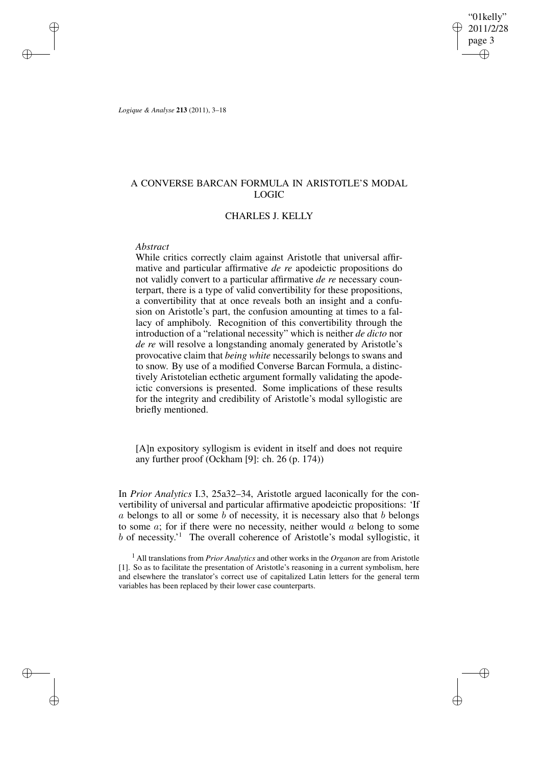"01kelly" 2011/2/28 page 3 ✐ ✐

✐

✐

*Logique & Analyse* **213** (2011), 3–18

✐

✐

✐

✐

# A CONVERSE BARCAN FORMULA IN ARISTOTLE'S MODAL LOGIC

## CHARLES J. KELLY

### *Abstract*

While critics correctly claim against Aristotle that universal affirmative and particular affirmative *de re* apodeictic propositions do not validly convert to a particular affirmative *de re* necessary counterpart, there is a type of valid convertibility for these propositions, a convertibility that at once reveals both an insight and a confusion on Aristotle's part, the confusion amounting at times to a fallacy of amphiboly. Recognition of this convertibility through the introduction of a "relational necessity" which is neither *de dicto* nor *de re* will resolve a longstanding anomaly generated by Aristotle's provocative claim that *being white* necessarily belongs to swans and to snow. By use of a modified Converse Barcan Formula, a distinctively Aristotelian ecthetic argument formally validating the apodeictic conversions is presented. Some implications of these results for the integrity and credibility of Aristotle's modal syllogistic are briefly mentioned.

[A]n expository syllogism is evident in itself and does not require any further proof (Ockham [9]: ch. 26 (p. 174))

In *Prior Analytics* I.3, 25a32–34, Aristotle argued laconically for the convertibility of universal and particular affirmative apodeictic propositions: 'If  $\alpha$  belongs to all or some  $\beta$  of necessity, it is necessary also that  $\beta$  belongs to some  $a$ ; for if there were no necessity, neither would  $a$  belong to some b of necessity.' <sup>1</sup> The overall coherence of Aristotle's modal syllogistic, it

<sup>1</sup> All translations from *Prior Analytics* and other works in the *Organon* are from Aristotle [1]. So as to facilitate the presentation of Aristotle's reasoning in a current symbolism, here and elsewhere the translator's correct use of capitalized Latin letters for the general term variables has been replaced by their lower case counterparts.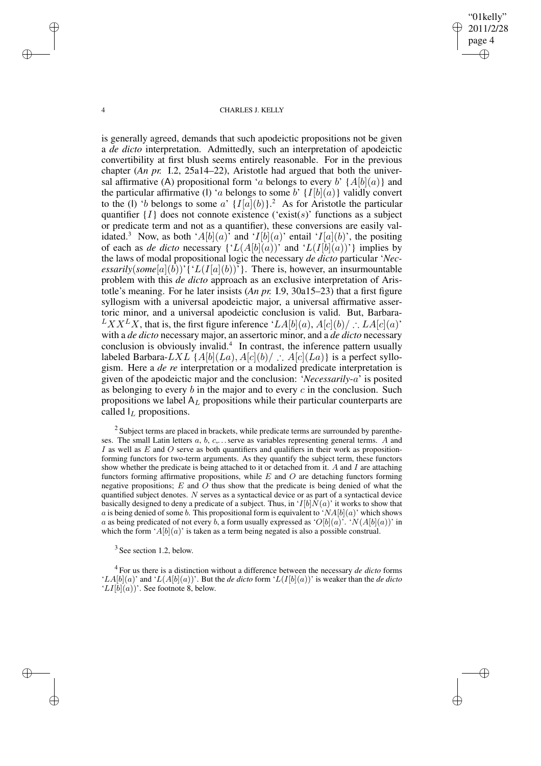"01kelly" 2011/2/28 page 4 ✐ ✐

✐

✐

#### 4 CHARLES J. KELLY

is generally agreed, demands that such apodeictic propositions not be given a *de dicto* interpretation. Admittedly, such an interpretation of apodeictic convertibility at first blush seems entirely reasonable. For in the previous chapter (*An pr.* I.2, 25a14–22), Aristotle had argued that both the universal affirmative (A) propositional form 'a belongs to every b'  $\{A[b](a)\}$  and the particular affirmative (I) 'a belongs to some b'  $\{I[b](a)\}$  validly convert to the (I) 'b belongs to some a'  $\{I[a](b)\}$ .<sup>2</sup> As for Aristotle the particular quantifier  $\{I\}$  does not connote existence ('exist(s)' functions as a subject or predicate term and not as a quantifier), these conversions are easily validated.<sup>3</sup> Now, as both 'A[b](a)' and 'I[b](a)' entail 'I[a](b)', the positing of each as *de dicto* necessary  $\{L(A[b](a))\}$  and  $L(I[b](a))\}$  implies by the laws of modal propositional logic the necessary *de dicto* particular '*Necessarily*(*some*[a](b))'{' $L(I[a](b))$ '}. There is, however, an insurmountable problem with this *de dicto* approach as an exclusive interpretation of Aristotle's meaning. For he later insists (*An pr.* I.9, 30a15–23) that a first figure syllogism with a universal apodeictic major, a universal affirmative assertoric minor, and a universal apodeictic conclusion is valid. But, Barbara- $LXX^L X$ , that is, the first figure inference 'LA[b](a), A[c](b)/ ∴ LA[c](a)' with a *de dicto* necessary major, an assertoric minor, and a *de dicto* necessary conclusion is obviously invalid.<sup>4</sup> In contrast, the inference pattern usually labeled Barbara-LXL { $A[b](La)$ ,  $A[c](b)$  :  $A[c](La)$ } is a perfect syllogism. Here a *de re* interpretation or a modalized predicate interpretation is given of the apodeictic major and the conclusion: '*Necessarily*-a' is posited as belonging to every  $b$  in the major and to every  $c$  in the conclusion. Such propositions we label  $A_L$  propositions while their particular counterparts are called  $I_L$  propositions.

 $2$  Subject terms are placed in brackets, while predicate terms are surrounded by parentheses. The small Latin letters  $a, b, c, \ldots$  serve as variables representing general terms. A and I as well as  $E$  and  $O$  serve as both quantifiers and qualifiers in their work as propositionforming functors for two-term arguments. As they quantify the subject term, these functors show whether the predicate is being attached to it or detached from it. A and I are attaching functors forming affirmative propositions, while  $E$  and  $O$  are detaching functors forming negative propositions;  $E$  and  $\overline{O}$  thus show that the predicate is being denied of what the quantified subject denotes. N serves as a syntactical device or as part of a syntactical device basically designed to deny a predicate of a subject. Thus, in ' $I[b]N(a)$ ' it works to show that a is being denied of some b. This propositional form is equivalent to ' $NA[b](a)$ ' which shows a as being predicated of not every b, a form usually expressed as ' $O[b](a)$ '. ' $N(A[b](a))$ ' in which the form ' $A[b](a)$ ' is taken as a term being negated is also a possible construal.

 $3$  See section 1.2, below.

4 For us there is a distinction without a difference between the necessary *de dicto* forms ' $LA[b](a)$ ' and ' $L(A[b](a))$ '. But the *de dicto* form ' $L(I[b](a))$ ' is weaker than the *de dicto*  $'LI[b](a)$ . See footnote 8, below.

✐

✐

✐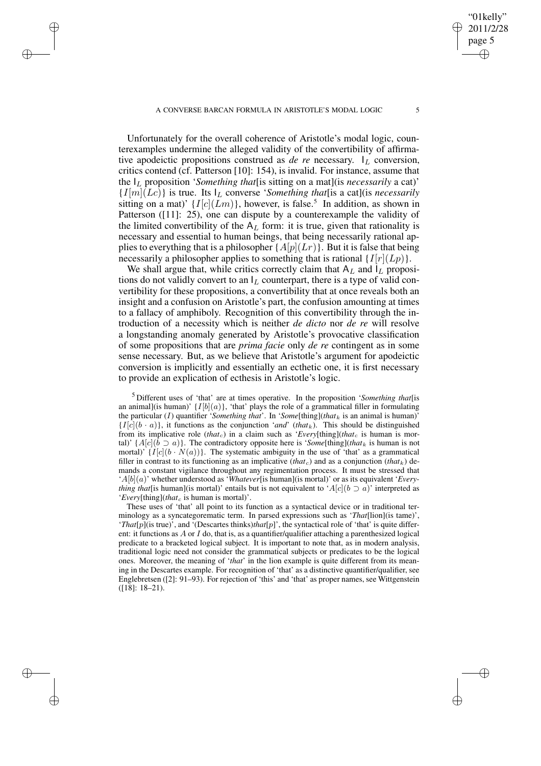✐

✐

✐

✐

Unfortunately for the overall coherence of Aristotle's modal logic, counterexamples undermine the alleged validity of the convertibility of affirmative apodeictic propositions construed as *de re* necessary.  $I_L$  conversion, critics contend (cf. Patterson [10]: 154), is invalid. For instance, assume that the I<sup>L</sup> proposition '*Something that*[is sitting on a mat](is *necessarily* a cat)'  ${I[m](Lc)}$  is true. Its  $I_L$  converse '*Something that* [is a cat] (is *necessarily* sitting on a mat)'  $\{I[c](Lm)\}\$ , however, is false.<sup>5</sup> In addition, as shown in Patterson ([11]: 25), one can dispute by a counterexample the validity of the limited convertibility of the  $A_L$  form: it is true, given that rationality is necessary and essential to human beings, that being necessarily rational applies to everything that is a philosopher { $A[p](Lr)$ }. But it is false that being necessarily a philosopher applies to something that is rational  $\{I[r](Lp)\}.$ 

We shall argue that, while critics correctly claim that  $A_L$  and  $I_L$  propositions do not validly convert to an  $I_L$  counterpart, there is a type of valid convertibility for these propositions, a convertibility that at once reveals both an insight and a confusion on Aristotle's part, the confusion amounting at times to a fallacy of amphiboly. Recognition of this convertibility through the introduction of a necessity which is neither *de dicto* nor *de re* will resolve a longstanding anomaly generated by Aristotle's provocative classification of some propositions that are *prima facie* only *de re* contingent as in some sense necessary. But, as we believe that Aristotle's argument for apodeictic conversion is implicitly and essentially an ecthetic one, it is first necessary to provide an explication of ecthesis in Aristotle's logic.

<sup>5</sup> Different uses of 'that' are at times operative. In the proposition '*Something that*[is an animal](is human)'  $\{I[b](a)\}$ , 'that' plays the role of a grammatical filler in formulating the particular (I) quantifier '*Something that*'. In '*Some*[thing](*that*<sub>k</sub> is an animal is human)'  ${I[c](b \cdot a)}$ , it functions as the conjunction '*and*' (*that*<sub>k</sub>). This should be distinguished from its implicative role (*that<sub>c</sub>*) in a claim such as '*Every*[thing](*that<sub>c</sub>* is human is mortal)' { $A[c](b \supset a)$ }. The contradictory opposite here is '*Some*[thing](*that*<sub>k</sub> is human is not mortal)'  $\{I[c](b \cdot N(a))\}$ . The systematic ambiguity in the use of 'that' as a grammatical filler in contrast to its functioning as an implicative (*that<sub>c</sub>*) and as a conjunction (*that*<sub>k</sub>) demands a constant vigilance throughout any regimentation process. It must be stressed that  $^{\prime}A[b](a)$ ' whether understood as '*Whatever*[is human](is mortal)' or as its equivalent '*Everything that*[is human](is mortal)' entails but is not equivalent to ' $A[c](b \supset a)$ ' interpreted as '*Every*[thing](*that*<sub>c</sub> is human is mortal)'.

These uses of 'that' all point to its function as a syntactical device or in traditional terminology as a syncategorematic term. In parsed expressions such as '*That*[lion](is tame)', '*That*[p](is true)', and '(Descartes thinks)*that*[p]', the syntactical role of 'that' is quite different: it functions as A or I do, that is, as a quantifier/qualifier attaching a parenthesized logical predicate to a bracketed logical subject. It is important to note that, as in modern analysis, traditional logic need not consider the grammatical subjects or predicates to be the logical ones. Moreover, the meaning of '*that*' in the lion example is quite different from its meaning in the Descartes example. For recognition of 'that' as a distinctive quantifier/qualifier, see Englebretsen ([2]: 91–93). For rejection of 'this' and 'that' as proper names, see Wittgenstein ([18]: 18–21).

"01kelly" 2011/2/28 page 5

✐

✐

✐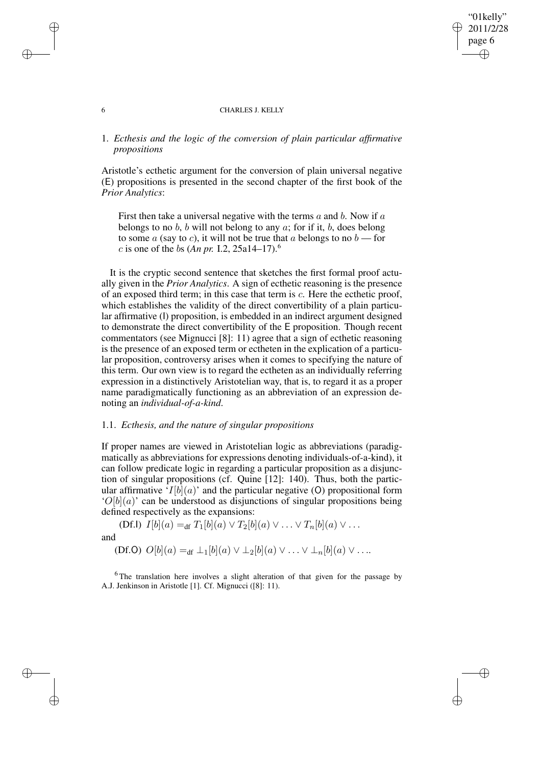#### 6 CHARLES J. KELLY

"01kelly" 2011/2/28 page 6

✐

✐

✐

✐

# 1. *Ecthesis and the logic of the conversion of plain particular affirmative propositions*

Aristotle's ecthetic argument for the conversion of plain universal negative (E) propositions is presented in the second chapter of the first book of the *Prior Analytics*:

First then take a universal negative with the terms  $a$  and  $b$ . Now if  $a$ belongs to no b, b will not belong to any  $a$ ; for if it, b, does belong to some  $a$  (say to c), it will not be true that  $a$  belongs to no  $b$  — for *c* is one of the *bs* (*An pr.* I.2, 25a14–17).<sup>6</sup>

It is the cryptic second sentence that sketches the first formal proof actually given in the *Prior Analytics*. A sign of ecthetic reasoning is the presence of an exposed third term; in this case that term is c. Here the ecthetic proof, which establishes the validity of the direct convertibility of a plain particular affirmative (I) proposition, is embedded in an indirect argument designed to demonstrate the direct convertibility of the E proposition. Though recent commentators (see Mignucci [8]: 11) agree that a sign of ecthetic reasoning is the presence of an exposed term or ectheten in the explication of a particular proposition, controversy arises when it comes to specifying the nature of this term. Our own view is to regard the ectheten as an individually referring expression in a distinctively Aristotelian way, that is, to regard it as a proper name paradigmatically functioning as an abbreviation of an expression denoting an *individual-of-a-kind*.

# 1.1. *Ecthesis, and the nature of singular propositions*

If proper names are viewed in Aristotelian logic as abbreviations (paradigmatically as abbreviations for expressions denoting individuals-of-a-kind), it can follow predicate logic in regarding a particular proposition as a disjunction of singular propositions (cf. Quine [12]: 140). Thus, both the particular affirmative ' $I[b](a)$ ' and the particular negative (O) propositional form  $'O[b](a)$  can be understood as disjunctions of singular propositions being defined respectively as the expansions:

(Df.I)  $I[b](a) =_{df} T_1[b](a) \vee T_2[b](a) \vee \ldots \vee T_n[b](a) \vee \ldots$ and (Df.O)  $O[b](a) =_{df} \perp_1[b](a) \vee \perp_2[b](a) \vee \ldots \vee \perp_n[b](a) \vee \ldots$ 

<sup>6</sup>The translation here involves a slight alteration of that given for the passage by A.J. Jenkinson in Aristotle [1]. Cf. Mignucci ([8]: 11).

✐

✐

✐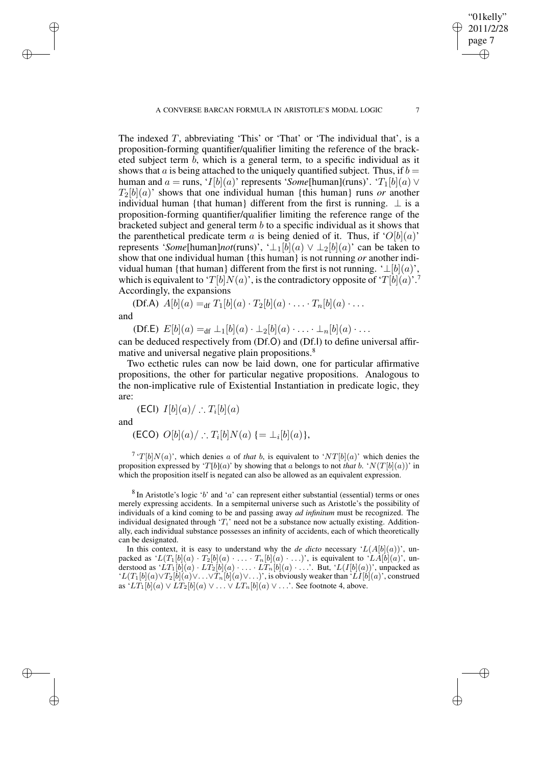The indexed  $T$ , abbreviating 'This' or 'That' or 'The individual that', is a proposition-forming quantifier/qualifier limiting the reference of the bracketed subject term b, which is a general term, to a specific individual as it shows that a is being attached to the uniquely quantified subject. Thus, if  $b =$ human and  $a = \text{runs}, 'I[b](a)'$  represents '*Some*[human](runs)'. ' $T_1[b](a) \vee$  $T_2[b](a)$ ' shows that one individual human {this human} runs *or* another individual human {that human} different from the first is running.  $\perp$  is a proposition-forming quantifier/qualifier limiting the reference range of the bracketed subject and general term  $b$  to a specific individual as it shows that the parenthetical predicate term a is being denied of it. Thus, if ' $O[b](a)$ ' represents '*Some*[human]*not*(runs)', ' $\perp_1[b](a) \vee \perp_2[b](a)$ ' can be taken to show that one individual human {this human} is not running *or* another individual human {that human} different from the first is not running. ' $\perp[b](a)$ ', which is equivalent to ' $T[b]N(a)$ ', is the contradictory opposite of ' $T[b](a)$ '.<sup>7</sup> Accordingly, the expansions

(Df.A)  $A[b](a) =_{df} T_1[b](a) \cdot T_2[b](a) \cdot \ldots \cdot T_n[b](a) \cdot \ldots$ 

and

✐

✐

✐

✐

(Df.E)  $E[b](a) =_{df} \perp_1[b](a) \cdot \perp_2[b](a) \cdot \ldots \cdot \perp_n[b](a) \cdot \ldots$ 

can be deduced respectively from (Df.O) and (Df.I) to define universal affirmative and universal negative plain propositions.<sup>8</sup>

Two ecthetic rules can now be laid down, one for particular affirmative propositions, the other for particular negative propositions. Analogous to the non-implicative rule of Existential Instantiation in predicate logic, they are:

(ECI)  $I[b](a) / \therefore T_i[b](a)$ 

and

(ECO)  $O[b](a) /$  ∴  $T_i[b]N(a)$  {= ⊥<sub>i</sub>[b](a)},

<sup>7</sup> ' $T[b]N(a)$ ', which denies a of *that* b, is equivalent to ' $NT[b](a)$ ' which denies the proposition expressed by 'T[b](a)' by showing that a belongs to not *that* b. ' $N(T[b](a))$ ' in which the proposition itself is negated can also be allowed as an equivalent expression.

 $8$  In Aristotle's logic 'b' and 'a' can represent either substantial (essential) terms or ones merely expressing accidents. In a sempiternal universe such as Aristotle's the possibility of individuals of a kind coming to be and passing away *ad infinitum* must be recognized. The individual designated through ' $T_i$ ' need not be a substance now actually existing. Additionally, each individual substance possesses an infinity of accidents, each of which theoretically can be designated.

In this context, it is easy to understand why the *de dicto* necessary  $'L(A[b](a))$ , unpacked as  $'L(T_1[b](a) \cdot T_2[b](a) \cdot \ldots \cdot T_n[b](a) \cdot \ldots)$ , is equivalent to  $'LA[b](a)$ , understood as  $LT_1[b](a) \cdot LT_2[b](a) \cdot \ldots \cdot LT_n[b](a) \cdot \ldots$ . But,  $'L(I[b](a))$ ', unpacked as  $'L(T_1[b](a) \vee T_2[b](a) \vee \ldots \vee T_n[b](a) \vee \ldots)$ ', is obviously weaker than ' $LI[b](a)$ ', construed as  $'LT_1[b](a) \vee LT_2[b](a) \vee \ldots \vee LT_n[b](a) \vee \ldots$ . See footnote 4, above.

"01kelly" 2011/2/28 page 7

✐

✐

✐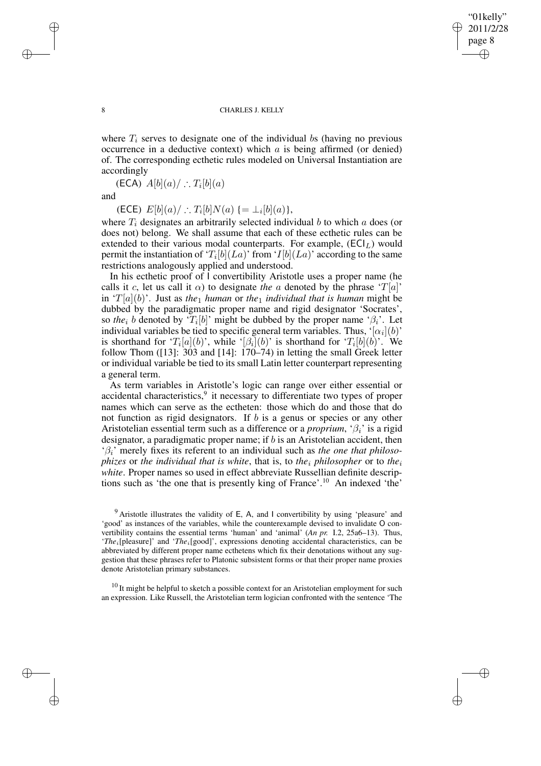✐

✐

#### 8 CHARLES J. KELLY

where  $T_i$  serves to designate one of the individual bs (having no previous occurrence in a deductive context) which  $a$  is being affirmed (or denied) of. The corresponding ecthetic rules modeled on Universal Instantiation are accordingly

(ECA)  $A[b](a) / \therefore T_i[b](a)$ 

and

(ECE)  $E[b](a) / : T_i[b]N(a) \{ = \bot_i[b](a) \},$ 

where  $T_i$  designates an arbitrarily selected individual b to which a does (or does not) belong. We shall assume that each of these ecthetic rules can be extended to their various modal counterparts. For example,  $(ECI<sub>L</sub>)$  would permit the instantiation of ' $T_i[b](La)$ ' from ' $I[b](La)$ ' according to the same restrictions analogously applied and understood.

In his ecthetic proof of I convertibility Aristotle uses a proper name (he calls it c, let us call it  $\alpha$ ) to designate *the* a denoted by the phrase 'T[a]' in  $T[a](b)$ . Just as *the*<sub>1</sub> *human* or *the*<sub>1</sub> *individual that is human* might be dubbed by the paradigmatic proper name and rigid designator 'Socrates', so *the*<sub>i</sub> b denoted by ' $T_i[b]$ ' might be dubbed by the proper name ' $\beta_i$ '. Let individual variables be tied to specific general term variables. Thus,  $\lceil \alpha_i \rceil(b)$ is shorthand for ' $T_i[a](b)$ ', while ' $\beta_i](b)$ ' is shorthand for ' $T_i[b](b)$ '. We follow Thom ([13]: 303 and [14]: 170–74) in letting the small Greek letter or individual variable be tied to its small Latin letter counterpart representing a general term.

As term variables in Aristotle's logic can range over either essential or accidental characteristics,<sup>9</sup> it necessary to differentiate two types of proper names which can serve as the ectheten: those which do and those that do not function as rigid designators. If  $b$  is a genus or species or any other Aristotelian essential term such as a difference or a *proprium*, ' $\beta_i$ ' is a rigid designator, a paradigmatic proper name; if  $b$  is an Aristotelian accident, then 'βi' merely fixes its referent to an individual such as *the one that philosophizes* or *the individual that is white*, that is, to *the<sub>i</sub> philosopher* or to *the<sub>i</sub> white*. Proper names so used in effect abbreviate Russellian definite descriptions such as 'the one that is presently king of France'.<sup>10</sup> An indexed 'the'

 $10$  It might be helpful to sketch a possible context for an Aristotelian employment for such an expression. Like Russell, the Aristotelian term logician confronted with the sentence 'The

✐

✐

✐

 $9$  Aristotle illustrates the validity of E, A, and I convertibility by using 'pleasure' and 'good' as instances of the variables, while the counterexample devised to invalidate O convertibility contains the essential terms 'human' and 'animal' (*An pr.* I.2, 25a6–13). Thus, '*The*<sub>i</sub>[pleasure]' and '*The*<sub>i</sub>[good]', expressions denoting accidental characteristics, can be abbreviated by different proper name ecthetens which fix their denotations without any suggestion that these phrases refer to Platonic subsistent forms or that their proper name proxies denote Aristotelian primary substances.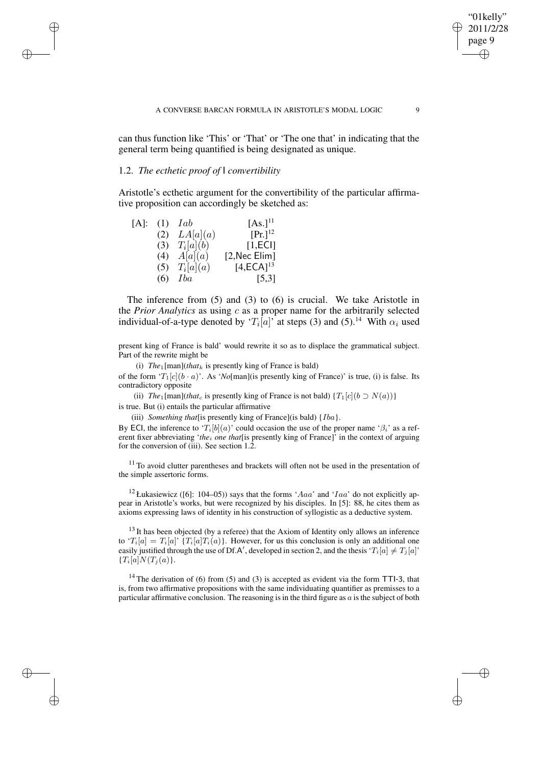can thus function like 'This' or 'That' or 'The one that' in indicating that the general term being quantified is being designated as unique.

### 1.2. *The ecthetic proof of* I *convertibility*

✐

✐

✐

✐

Aristotle's ecthetic argument for the convertibility of the particular affirmative proposition can accordingly be sketched as:

| $[A]$ : | (1) | Iab              | [As.] <sup>11</sup> |
|---------|-----|------------------|---------------------|
|         |     | (2) $LA[a](a)$   | $[Pr.]^{12}$        |
|         |     | (3) $T_i[a](b)$  | [1,EC]              |
|         |     | (4) $A[a](a)$    | [2, Nec Elim]       |
|         |     | (5) $T_i[a](a)$  | $[4,ECA]^{13}$      |
|         |     | $(6)$ <i>Iba</i> | [5,3]               |

The inference from (5) and (3) to (6) is crucial. We take Aristotle in the *Prior Analytics* as using c as a proper name for the arbitrarily selected individual-of-a-type denoted by ' $T_i[a]$ ' at steps (3) and (5).<sup>14</sup> With  $\alpha_i$  used

present king of France is bald' would rewrite it so as to displace the grammatical subject. Part of the rewrite might be

(i)  $The_1$ [man](*that<sub>k</sub>* is presently king of France is bald)

of the form ' $T_1[c](b \cdot a)$ '. As '*No*[man](is presently king of France)' is true, (i) is false. Its contradictory opposite

(ii) *The*<sub>1</sub>[man](*that*<sub>c</sub> is presently king of France is not bald) { $T_1[c](b \supset N(a))$ } is true. But (i) entails the particular affirmative

(iii) *Something that*[is presently king of France](is bald) {Iba}.

By ECI, the inference to ' $T_i[b](a)$ ' could occasion the use of the proper name ' $\beta_i$ ' as a referent fixer abbreviating '*the*<sub>i</sub> one *that*[is presently king of France]' in the context of arguing for the conversion of (iii). See section 1.2.

 $11$  To avoid clutter parentheses and brackets will often not be used in the presentation of the simple assertoric forms.

<sup>12</sup> Łukasiewicz ([6]: 104–05)) says that the forms 'Aaa' and 'Iaa' do not explicitly appear in Aristotle's works, but were recognized by his disciples. In [5]: 88, he cites them as axioms expressing laws of identity in his construction of syllogistic as a deductive system.

 $13$  It has been objected (by a referee) that the Axiom of Identity only allows an inference to  $T_i[a] = T_i[a]'$   $\{T_i[a]T_i(a)\}\$ . However, for us this conclusion is only an additional one easily justified through the use of Df.A', developed in section 2, and the thesis ' $T_i[a] \neq T_j[a]$ '  ${T_i[a]N(T_j(a))}.$ 

<sup>14</sup> The derivation of (6) from (5) and (3) is accepted as evident via the form TTI-3, that is, from two affirmative propositions with the same individuating quantifier as premisses to a particular affirmative conclusion. The reasoning is in the third figure as  $a$  is the subject of both

"01kelly" 2011/2/28 page 9

✐

✐

✐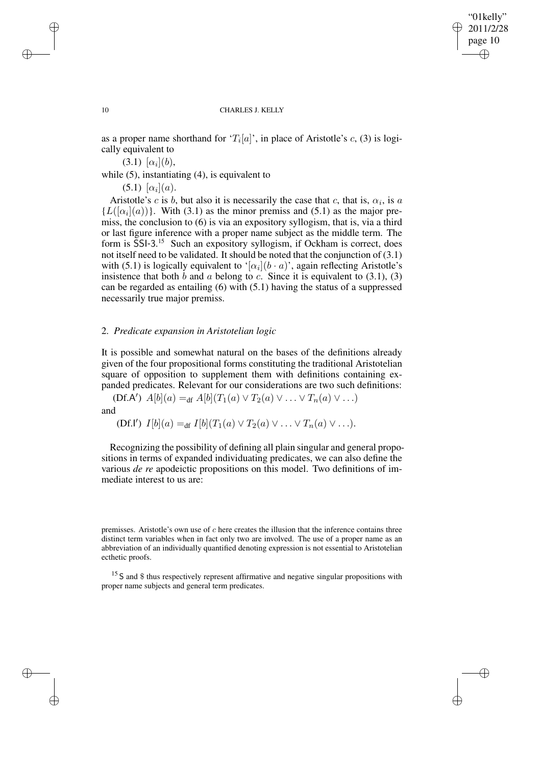✐

✐

#### 10 CHARLES J. KELLY

as a proper name shorthand for ' $T_i[a]$ ', in place of Aristotle's c, (3) is logically equivalent to

 $(3.1)$   $[\alpha_i](b)$ ,

while (5), instantiating (4), is equivalent to

 $(5.1)$   $[\alpha_i](a)$ .

Aristotle's c is b, but also it is necessarily the case that c, that is,  $\alpha_i$ , is a  ${L([{\alpha}_i](a))}$ . With (3.1) as the minor premiss and (5.1) as the major premiss, the conclusion to (6) is via an expository syllogism, that is, via a third or last figure inference with a proper name subject as the middle term. The form is SSI-3.<sup>15</sup> Such an expository syllogism, if Ockham is correct, does not itself need to be validated. It should be noted that the conjunction of (3.1) with (5.1) is logically equivalent to '[ $\alpha_i$ ]( $b \cdot a$ )', again reflecting Aristotle's insistence that both b and a belong to c. Since it is equivalent to  $(3.1)$ ,  $(3)$ can be regarded as entailing (6) with (5.1) having the status of a suppressed necessarily true major premiss.

### 2. *Predicate expansion in Aristotelian logic*

It is possible and somewhat natural on the bases of the definitions already given of the four propositional forms constituting the traditional Aristotelian square of opposition to supplement them with definitions containing expanded predicates. Relevant for our considerations are two such definitions:

 $(Df.A') A[b](a) =_{df} A[b](T_1(a) \vee T_2(a) \vee \ldots \vee T_n(a) \vee \ldots)$ and

(Df.I')  $I[b](a) =_{df} I[b](T_1(a) \vee T_2(a) \vee \ldots \vee T_n(a) \vee \ldots).$ 

Recognizing the possibility of defining all plain singular and general propositions in terms of expanded individuating predicates, we can also define the various *de re* apodeictic propositions on this model. Two definitions of immediate interest to us are:

✐

✐

✐

premisses. Aristotle's own use of c here creates the illusion that the inference contains three distinct term variables when in fact only two are involved. The use of a proper name as an abbreviation of an individually quantified denoting expression is not essential to Aristotelian ecthetic proofs.

<sup>&</sup>lt;sup>15</sup> S and \$ thus respectively represent affirmative and negative singular propositions with proper name subjects and general term predicates.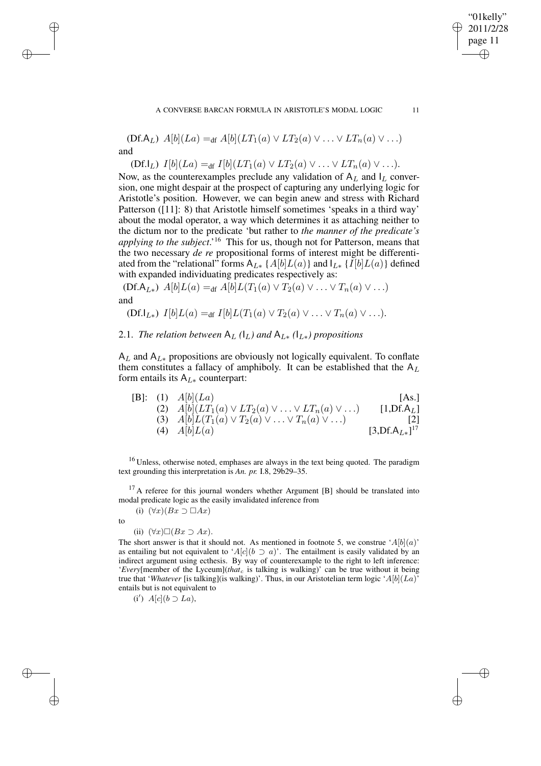$(Df.A_L) A[b](La) =_{df} A[b](LT_1(a) \vee LT_2(a) \vee ... \vee LT_n(a) \vee ...)$ and

 $(Df.I_L) I[b](La) =_{df} I[b](LT_1(a) \vee LT_2(a) \vee ... \vee LT_n(a) \vee ...).$ 

Now, as the counterexamples preclude any validation of  $A_L$  and  $I_L$  conversion, one might despair at the prospect of capturing any underlying logic for Aristotle's position. However, we can begin anew and stress with Richard Patterson ([11]: 8) that Aristotle himself sometimes 'speaks in a third way' about the modal operator, a way which determines it as attaching neither to the dictum nor to the predicate 'but rather to *the manner of the predicate's applying to the subject*.' <sup>16</sup> This for us, though not for Patterson, means that the two necessary *de re* propositional forms of interest might be differentiated from the "relational" forms  $A_{L*}$  {  $A[b]L(a)$ } and  $I_{L*}$  {  $I[b]L(a)$ } defined with expanded individuating predicates respectively as:

 $(Df.A_{L*})$   $A[b]L(a) =_{df} A[b]L(T_1(a) \vee T_2(a) \vee \ldots \vee T_n(a) \vee \ldots)$ and

$$
(Df.I_{L*}) I[b]L(a) =_{df} I[b]L(T_1(a) \vee T_2(a) \vee \ldots \vee T_n(a) \vee \ldots).
$$

2.1. *The relation between*  $A_L$  *(* $I_L$ *) and*  $A_{L*}$  *(* $I_{L*}$ *) propositions* 

 $A_L$  and  $A_{L*}$  propositions are obviously not logically equivalent. To conflate them constitutes a fallacy of amphiboly. It can be established that the  $A_L$ form entails its  $A_{L*}$  counterpart:

|     | [B]: (1) $A[b](La)$                                                   | [As.]                 |
|-----|-----------------------------------------------------------------------|-----------------------|
|     | (2) $A[b](LT_1(a) \vee LT_2(a) \vee \ldots \vee LT_n(a) \vee \ldots)$ | $[1, DF.A_L]$         |
|     | (3) $A[b]L(T_1(a) \vee T_2(a) \vee  \vee T_n(a) \vee )$               |                       |
| (4) | A[b]L(a)                                                              | $[3, Df.A_{L*}]^{17}$ |

<sup>16</sup> Unless, otherwise noted, emphases are always in the text being quoted. The paradigm text grounding this interpretation is *An. pr.* I.8, 29b29–35.

<sup>17</sup> A referee for this journal wonders whether Argument [B] should be translated into modal predicate logic as the easily invalidated inference from

to

✐

✐

✐

✐

(ii)  $(\forall x) \Box (Bx \supset Ax).$ 

(i)  $(\forall x)(Bx \supset \Box Ax)$ 

The short answer is that it should not. As mentioned in footnote 5, we construe ' $A[b](a)$ ' as entailing but not equivalent to 'A[c](b  $\supset$  a)'. The entailment is easily validated by an indirect argument using ecthesis. By way of counterexample to the right to left inference: '*Every*[member of the Lyceum](*that*<sub>c</sub> is talking is walking)' can be true without it being true that '*Whatever* [is talking](is walking)'. Thus, in our Aristotelian term logic 'A[b](La)' entails but is not equivalent to

(i')  $A[c](b \supset La)$ ,

"01kelly" 2011/2/28 page 11

✐

✐

✐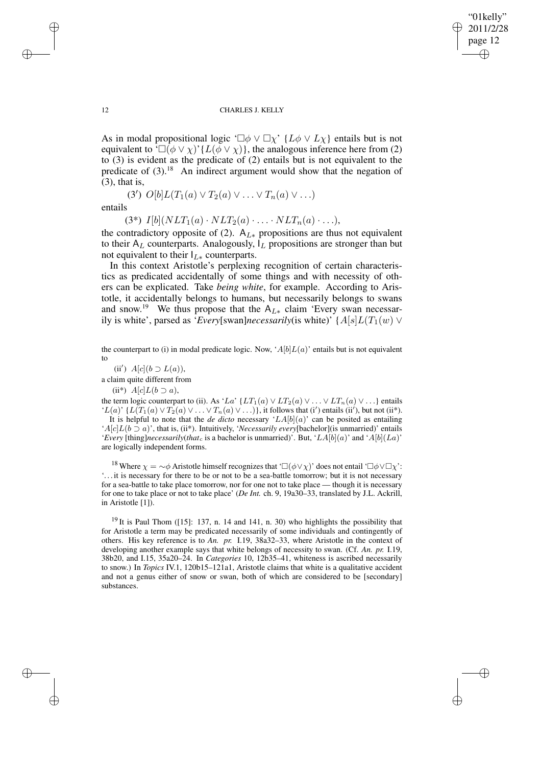✐

✐

#### 12 CHARLES J. KELLY

As in modal propositional logic ' $\Box \phi \lor \Box \chi'$ ' { $L\phi \lor L\chi$ } entails but is not equivalent to  $\Box(\phi \lor \chi)'$  { $L(\phi \lor \chi)$ }, the analogous inference here from (2) to (3) is evident as the predicate of (2) entails but is not equivalent to the predicate of  $(3)$ .<sup>18</sup> An indirect argument would show that the negation of (3), that is, (3')  $O[b]L(T_1(a) \vee T_2(a) \vee \ldots \vee T_n(a) \vee \ldots)$ 

entails

(3\*)  $I[b](NLT_1(a) \cdot NLT_2(a) \cdot \ldots \cdot NLT_n(a) \cdot \ldots),$ 

the contradictory opposite of (2).  $A_{L*}$  propositions are thus not equivalent to their  $A_L$  counterparts. Analogously,  $I_L$  propositions are stronger than but not equivalent to their  $I_{L*}$  counterparts.

In this context Aristotle's perplexing recognition of certain characteristics as predicated accidentally of some things and with necessity of others can be explicated. Take *being white*, for example. According to Aristotle, it accidentally belongs to humans, but necessarily belongs to swans and snow.<sup>19</sup> We thus propose that the A<sub>L∗</sub> claim 'Every swan necessarily is white', parsed as '*Every*[swan]*necessarily*(is white)' { $A[s]L(T_1(w) \vee$ 

the counterpart to (i) in modal predicate logic. Now, ' $A[b]L(a)$ ' entails but is not equivalent to

(ii')  $A[c](b \supset L(a)),$ a claim quite different from (ii\*)  $A[c]L(b \supset a)$ ,

the term logic counterpart to (ii). As 'La' {LT<sub>1</sub>(a)  $\vee$  LT<sub>2</sub>(a)  $\vee$  ...  $\vee$  LT<sub>n</sub>(a)  $\vee$  ...} entails 'L(a)' {L(T<sub>1</sub>(a)  $\vee$  T<sub>2</sub>(a)  $\vee$  ...  $\vee$  T<sub>n</sub>(a)  $\vee$  ...)}, it follows that (i') entails (ii'), but not (ii\*). It is helpful to note that the *de dicto* necessary ' $LA[b](a)$ ' can be posited as entailing 'A[c]L(b ⊃ a)', that is, (ii\*). Intuitively, '*Necessarily every*[bachelor](is unmarried)' entails '*Every* [thing]*necessarily*(*that*<sub>c</sub> is a bachelor is unmarried)'. But, ' $LA[b](a)$ ' and ' $A[b](La)$ ' are logically independent forms.

<sup>18</sup> Where  $\chi = \sim \phi$  Aristotle himself recognizes that ' $\Box(\phi \lor \chi)$ ' does not entail ' $\Box \phi \lor \Box \chi$ ': '. . . it is necessary for there to be or not to be a sea-battle tomorrow; but it is not necessary for a sea-battle to take place tomorrow, nor for one not to take place — though it is necessary for one to take place or not to take place' (*De Int.* ch. 9, 19a30–33, translated by J.L. Ackrill, in Aristotle [1]).

 $19$  It is Paul Thom ([15]: 137, n. 14 and 141, n. 30) who highlights the possibility that for Aristotle a term may be predicated necessarily of some individuals and contingently of others. His key reference is to *An. pr.* I.19, 38a32–33, where Aristotle in the context of developing another example says that white belongs of necessity to swan. (Cf. *An. pr.* I.19, 38b20, and I.15, 35a20–24. In *Categories* 10, 12b35–41, whiteness is ascribed necessarily to snow.) In *Topics* IV.1, 120b15–121a1, Aristotle claims that white is a qualitative accident and not a genus either of snow or swan, both of which are considered to be [secondary] substances.

✐

✐

✐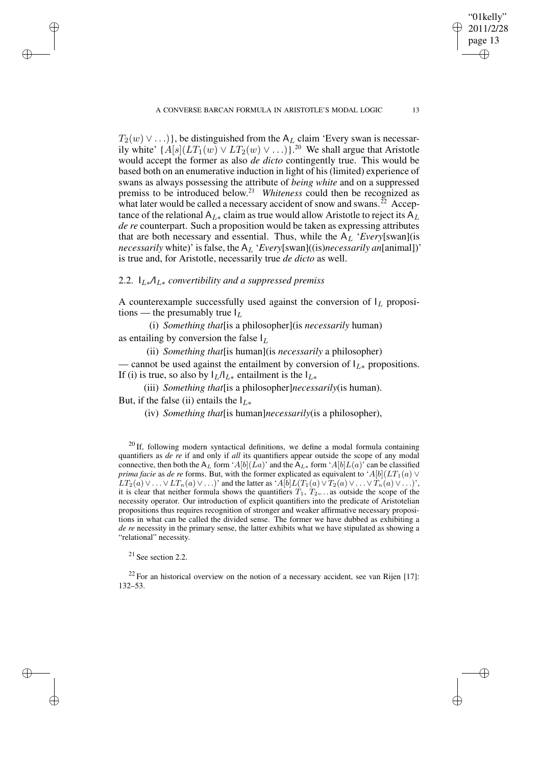$T_2(w) \vee ...$ }, be distinguished from the A<sub>L</sub> claim 'Every swan is necessarily white'  $\{A[s](LT_1(w) \vee LT_2(w) \vee ...)$ .<sup>20</sup> We shall argue that Aristotle would accept the former as also *de dicto* contingently true. This would be based both on an enumerative induction in light of his (limited) experience of swans as always possessing the attribute of *being white* and on a suppressed premiss to be introduced below. <sup>21</sup> *Whiteness* could then be recognized as what later would be called a necessary accident of snow and swans.<sup> $\bar{22}$ </sup> Acceptance of the relational A<sub>L∗</sub> claim as true would allow Aristotle to reject its A<sub>L</sub> *de re* counterpart. Such a proposition would be taken as expressing attributes that are both necessary and essential. Thus, while the  $A_L$  '*Every*[swan](is *necessarily* white)' is false, the A<sub>L</sub> '*Every*[swan]((is)*necessarily an*[animal])' is true and, for Aristotle, necessarily true *de dicto* as well.

### 2.2. IL∗*/*IL<sup>∗</sup> *convertibility and a suppressed premiss*

A counterexample successfully used against the conversion of  $I_L$  propositions — the presumably true  $I_L$ 

(i) *Something that*[is a philosopher](is *necessarily* human) as entailing by conversion the false  $I_L$ 

(ii) *Something that*[is human](is *necessarily* a philosopher) — cannot be used against the entailment by conversion of  $I_{L*}$  propositions. If (i) is true, so also by  $I_L/I_{L*}$  entailment is the  $I_{L*}$ 

(iii) *Something that*[is a philosopher]*necessarily*(is human).

But, if the false (ii) entails the  $I_{L*}$ 

✐

✐

✐

✐

(iv) *Something that*[is human]*necessarily*(is a philosopher),

<sup>20</sup> If, following modern syntactical definitions, we define a modal formula containing quantifiers as *de re* if and only if *all* its quantifiers appear outside the scope of any modal connective, then both the A<sub>L</sub> form 'A[b](La)' and the  $A_{L*}$  form 'A[b]L(a)' can be classified *prima facie* as *de re* forms. But, with the former explicated as equivalent to 'A[b]( $LT_1(a)$  ∨  $LT_2(a)\vee \ldots \vee LT_n(a)\vee \ldots$ )' and the latter as 'A[b] $L(T_1(a)\vee T_2(a)\vee \ldots \vee T_n(a)\vee \ldots)$ ', it is clear that neither formula shows the quantifiers  $T_1, T_2,...$  as outside the scope of the necessity operator. Our introduction of explicit quantifiers into the predicate of Aristotelian propositions thus requires recognition of stronger and weaker affirmative necessary propositions in what can be called the divided sense. The former we have dubbed as exhibiting a *de re* necessity in the primary sense, the latter exhibits what we have stipulated as showing a "relational" necessity.

<sup>21</sup> See section 2.2.

 $22$  For an historical overview on the notion of a necessary accident, see van Rijen [17]: 132–53.

"01kelly" 2011/2/28 page 13

✐

✐

✐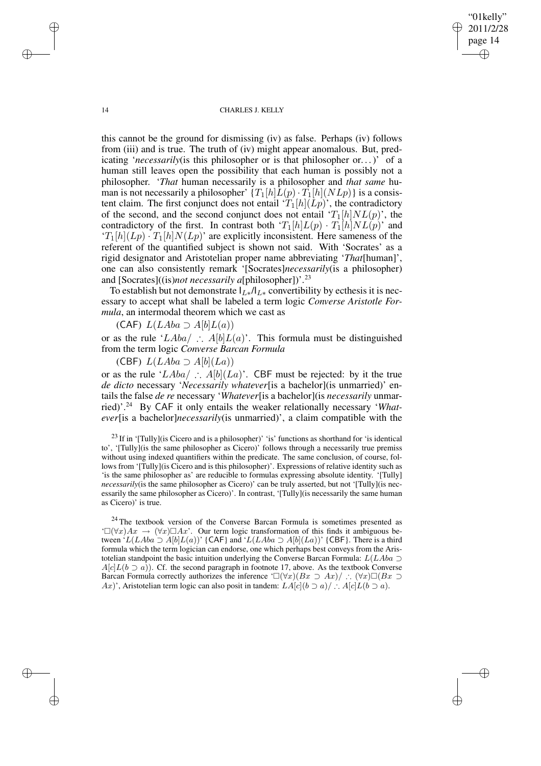"01kelly" 2011/2/28 page 14 ✐ ✐

✐

✐

#### 14 CHARLES J. KELLY

this cannot be the ground for dismissing (iv) as false. Perhaps (iv) follows from (iii) and is true. The truth of (iv) might appear anomalous. But, predicating '*necessarily*(is this philosopher or is that philosopher or. . .)' of a human still leaves open the possibility that each human is possibly not a philosopher. '*That* human necessarily is a philosopher and *that same* human is not necessarily a philosopher'  $\{T_1[h]L(p) \cdot T_1[h](NLp)\}$  is a consistent claim. The first conjunct does not entail  $T_1[h](Lp)$ , the contradictory of the second, and the second conjunct does not entail ' $T_1[h]NL(p)$ ', the contradictory of the first. In contrast both ' $T_1[h]L(p) \cdot T_1[h]NL(p)$ ' and  $T_1[h](L_p) \cdot T_1[h]N(L_p)$  are explicitly inconsistent. Here sameness of the referent of the quantified subject is shown not said. With 'Socrates' as a rigid designator and Aristotelian proper name abbreviating '*That*[human]', one can also consistently remark '[Socrates]*necessarily*(is a philosopher) and [Socrates]((is)*not necessarily a*[philosopher])'.<sup>23</sup>

To establish but not demonstrate  $I_{L*}/I_{L*}$  convertibility by ecthesis it is necessary to accept what shall be labeled a term logic *Converse Aristotle Formula*, an intermodal theorem which we cast as

(CAF)  $L(LAba \supset A[b]L(a))$ 

or as the rule 'LAba/ ∴ A[b]L(a)'. This formula must be distinguished from the term logic *Converse Barcan Formula*

(CBF)  $L(LAba \supset A[b](La))$ 

or as the rule 'LAba/ ∴ A[b](La)'. CBF must be rejected: by it the true *de dicto* necessary '*Necessarily whatever*[is a bachelor](is unmarried)' entails the false *de re* necessary '*Whatever*[is a bachelor](is *necessarily* unmarried)'.<sup>24</sup> By CAF it only entails the weaker relationally necessary '*Whatever*[is a bachelor]*necessarily*(is unmarried)', a claim compatible with the

 $23$  If in '[Tully](is Cicero and is a philosopher)' 'is' functions as shorthand for 'is identical to', '[Tully](is the same philosopher as Cicero)' follows through a necessarily true premiss without using indexed quantifiers within the predicate. The same conclusion, of course, follows from '[Tully](is Cicero and is this philosopher)'. Expressions of relative identity such as 'is the same philosopher as' are reducible to formulas expressing absolute identity. '[Tully] *necessarily*(is the same philosopher as Cicero)' can be truly asserted, but not '[Tully](is necessarily the same philosopher as Cicero)'. In contrast, '[Tully](is necessarily the same human as Cicero)' is true.

<sup>24</sup> The textbook version of the Converse Barcan Formula is sometimes presented as  $\Box(\forall x)Ax \rightarrow (\forall x)\Box Ax$ . Our term logic transformation of this finds it ambiguous between 'L(LAba  $\supset$  A[b]L(a))' {CAF} and 'L(LAba  $\supset$  A[b](La))' {CBF}. There is a third formula which the term logician can endorse, one which perhaps best conveys from the Aristotelian standpoint the basic intuition underlying the Converse Barcan Formula:  $L(LAba \supset$  $A[c]L(b \supset a])$ . Cf. the second paragraph in footnote 17, above. As the textbook Converse Barcan Formula correctly authorizes the inference ' $\Box(\forall x)(Bx \supset Ax) / \Box(Bx \supset Ax)$ Ax)', Aristotelian term logic can also posit in tandem:  $LA[c](b \supset a)/$  ∴  $A[c]L(b \supset a)$ .

✐

✐

✐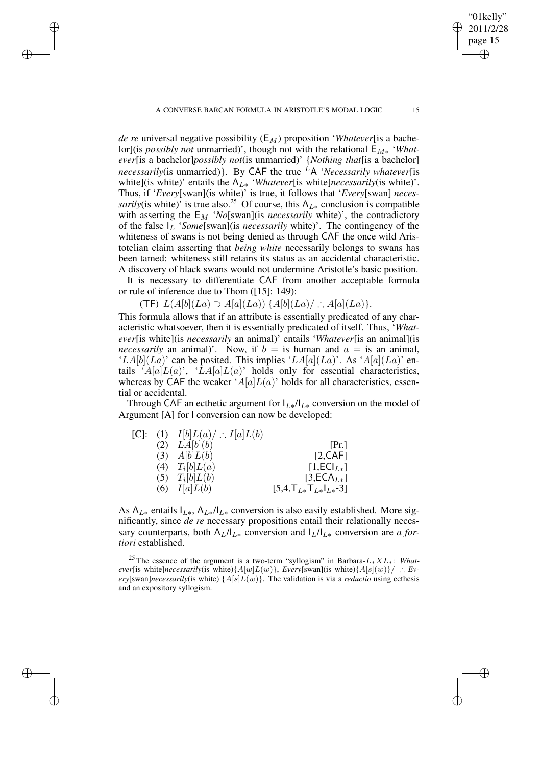✐

✐

✐

✐

*de re* universal negative possibility  $(E_M)$  proposition '*Whatever*[is a bachelor](is *possibly not* unmarried)', though not with the relational  $E_{M*}$  '*Whatever*[is a bachelor]*possibly not*(is unmarried)' {*Nothing that*[is a bachelor] *necessarily*(is unmarried)}. By CAF the true <sup>L</sup>A '*Necessarily whatever*[is white](is white)' entails the AL<sup>∗</sup> '*Whatever*[is white]*necessarily*(is white)'. Thus, if '*Every*[swan](is white)' is true, it follows that '*Every*[swan] *necessarily*(is white)' is true also.<sup>25</sup> Of course, this  $A_{L*}$  conclusion is compatible with asserting the  $E_M$  '*No*[swan](is *necessarily* white)', the contradictory of the false  $I_L$  '*Some*[swan](is *necessarily* white)'. The contingency of the whiteness of swans is not being denied as through CAF the once wild Aristotelian claim asserting that *being white* necessarily belongs to swans has been tamed: whiteness still retains its status as an accidental characteristic. A discovery of black swans would not undermine Aristotle's basic position.

It is necessary to differentiate CAF from another acceptable formula or rule of inference due to Thom ([15]: 149):

(TF)  $L(A[b](La) \supset A[a](La))$  { $A[b](La)/$  ∴  $A[a](La)$ }.

This formula allows that if an attribute is essentially predicated of any characteristic whatsoever, then it is essentially predicated of itself. Thus, '*Whatever*[is white](is *necessarily* an animal)' entails '*Whatever*[is an animal](is *necessarily* an animal)'. Now, if  $b =$  is human and  $a =$  is an animal, 'LA[b](La)' can be posited. This implies 'LA[a](La)'. As 'A[a](La)' entails ' $A[a]L(a)$ ', ' $LA[a]L(a)$ ' holds only for essential characteristics, whereas by CAF the weaker ' $A[a]L(a)$ ' holds for all characteristics, essential or accidental.

Through CAF an ecthetic argument for  $I_{L*}/I_{L*}$  conversion on the model of Argument [A] for I conversion can now be developed:

| $ C $ : | $(I)$ $I[b]L(a)/$ $I[a]L(b)$ |                                                           |
|---------|------------------------------|-----------------------------------------------------------|
|         | $(2)$ $LA[b](b)$             | [Pr.]                                                     |
|         | $(3)$ $A[b]L(b)$             | [2, CAF]                                                  |
|         | (4) $T_i[b]L(a)$             | $[1,ECIL*]$                                               |
|         | (5) $T_i[b]L(b)$             | $[3,ECAL*]$                                               |
|         | (6) $I[a]L(b)$               | $[5,4,\mathsf{T}_{L*}\mathsf{T}_{L*}\mathsf{T}_{L*}]$ -3] |

As  $A_{L*}$  entails  $I_{L*}$ ,  $A_{L*}/I_{L*}$  conversion is also easily established. More significantly, since *de re* necessary propositions entail their relationally necessary counterparts, both  $A_L/I_{L*}$  conversion and  $I_L/I_{L*}$  conversion are *a fortiori* established.

<sup>25</sup> The essence of the argument is a two-term "syllogism" in Barbara-L∗XL∗: *Whatever*[is white]*necessarily*(is white){ $A[w]L(w)$ }, *Every*[swan](is white){ $A[s](w)$ }/ ∴ *Every*[swan]*necessarily*(is white)  $\{A[s]L(w)\}$ . The validation is via a *reductio* using ecthesis and an expository syllogism.

"01kelly" 2011/2/28 page 15

✐

✐

✐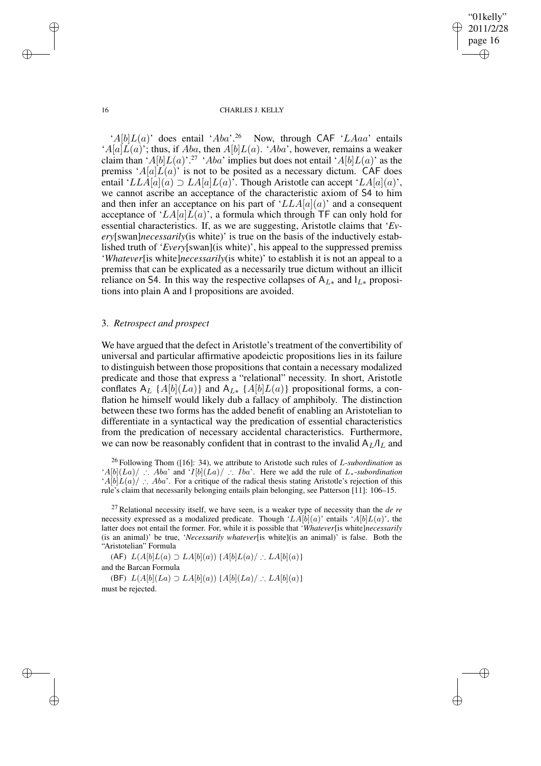"01kelly" 2011/2/28 page 16 ✐ ✐

✐

✐

#### 16 CHARLES J. KELLY

'A[b] $L(a)$ ' does entail 'Aba'.<sup>26</sup> Now, through CAF 'LAaa' entails ' $A[a]\overline{L}(a)$ '; thus, if Aba, then  $A[b]L(a)$ . 'Aba', however, remains a weaker claim than ' $A[b]L(a)$ '.<sup>27</sup> 'Aba' implies but does not entail ' $A[b]L(a)$ ' as the premiss ' $A[a]L(a)$ ' is not to be posited as a necessary dictum. CAF does entail 'LLA[a](a)  $\supset$  LA[a]L(a)'. Though Aristotle can accept 'LA[a](a)', we cannot ascribe an acceptance of the characteristic axiom of S4 to him and then infer an acceptance on his part of ' $LLA[a](a)$ ' and a consequent acceptance of ' $LA[a]L(a)$ ', a formula which through TF can only hold for essential characteristics. If, as we are suggesting, Aristotle claims that '*Every*[swan]*necessarily*(is white)' is true on the basis of the inductively established truth of '*Every*[swan](is white)', his appeal to the suppressed premiss '*Whatever*[is white]*necessarily*(is white)' to establish it is not an appeal to a premiss that can be explicated as a necessarily true dictum without an illicit reliance on S4. In this way the respective collapses of  $A_{L*}$  and  $I_{L*}$  propositions into plain A and I propositions are avoided.

# 3. *Retrospect and prospect*

We have argued that the defect in Aristotle's treatment of the convertibility of universal and particular affirmative apodeictic propositions lies in its failure to distinguish between those propositions that contain a necessary modalized predicate and those that express a "relational" necessity. In short, Aristotle conflates A<sub>L</sub> {A[b](La)} and A<sub>L\*</sub> {A[b]L(a)} propositional forms, a conflation he himself would likely dub a fallacy of amphiboly. The distinction between these two forms has the added benefit of enabling an Aristotelian to differentiate in a syntactical way the predication of essential characteristics from the predication of necessary accidental characteristics. Furthermore, we can now be reasonably confident that in contrast to the invalid  $A_L/I_L$  and

<sup>26</sup> Following Thom ([16]: 34), we attribute to Aristotle such rules of L-*subordination* as 'A[b](La)/ ∴ Aba' and 'I[b](La)/ ∴ Iba'. Here we add the rule of L∗-*subordination* 'A[b] $\hat{L}(a)'$  ∴ Aba'. For a critique of the radical thesis stating Aristotle's rejection of this rule's claim that necessarily belonging entails plain belonging, see Patterson [11]: 106–15.

(AF)  $L(A[b]L(a) \supset LA[b](a))$  { $A[b]L(a) / ∴ L(A[b](a)$ } and the Barcan Formula (BF)  $L(A[b](La) \supset LA[b](a))$  { $A[b](La)/$  ∴  $LA[b](a)$ } must be rejected.

✐

✐

✐

<sup>27</sup> Relational necessity itself, we have seen, is a weaker type of necessity than the *de re* necessity expressed as a modalized predicate. Though 'LA[b](a)' entails 'A[b]L(a)', the latter does not entail the former. For, while it is possible that '*Whatever*[is white]*necessarily* (is an animal)' be true, '*Necessarily whatever*[is white](is an animal)' is false. Both the "Aristotelian" Formula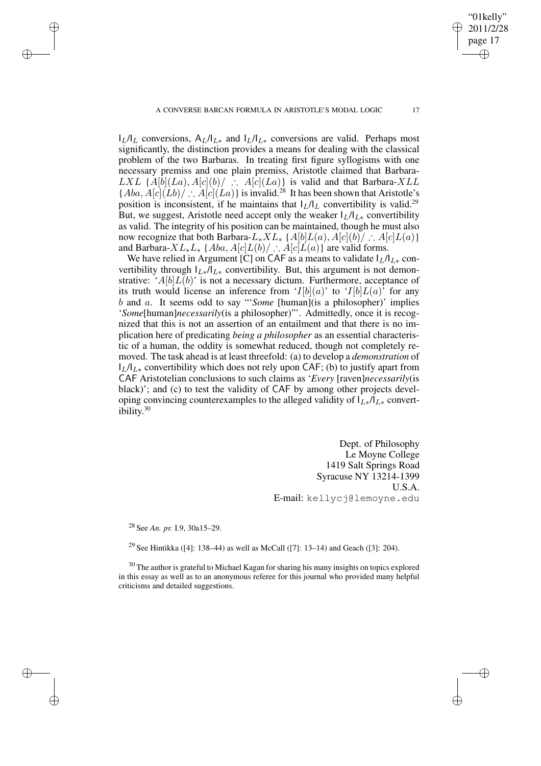$I_L/I_L$  conversions,  $A_L/I_{L*}$  and  $I_L/I_{L*}$  conversions are valid. Perhaps most significantly, the distinction provides a means for dealing with the classical problem of the two Barbaras. In treating first figure syllogisms with one necessary premiss and one plain premiss, Aristotle claimed that Barbara- $LXL \{A[b](La), A[c](b)/ \therefore A[c](La)\}\$ is valid and that Barbara- $XLL$  ${[Aba, A[c](\hat{L}b)] \therefore A[c](\hat{L}a)}$  is invalid.<sup>28</sup> It has been shown that Aristotle's position is inconsistent, if he maintains that  $I_L/I_L$  convertibility is valid.<sup>29</sup> But, we suggest, Aristotle need accept only the weaker  $I_L/I_{L*}$  convertibility as valid. The integrity of his position can be maintained, though he must also now recognize that both Barbara- $L_*XL_*$  {A[b] $L(a)$ , A[c](b)/ ∴ A[c] $L(a)$ } and Barbara- $XL_*L_*$  { $Aba$ ,  $A[c]L(b)/$  ∴  $A[c]L(a)$ } are valid forms.

We have relied in Argument [C] on CAF as a means to validate  $I_L/I_{L*}$  convertibility through  $I_{L*}/I_{L*}$  convertibility. But, this argument is not demonstrative: ' $A[b]L(b)$ ' is not a necessary dictum. Furthermore, acceptance of its truth would license an inference from ' $I[b](a)$ ' to ' $I[b]L(a)$ ' for any b and a. It seems odd to say "'*Some* [human](is a philosopher)' implies '*Some*[human]*necessarily*(is a philosopher)"'. Admittedly, once it is recognized that this is not an assertion of an entailment and that there is no implication here of predicating *being a philosopher* as an essential characteristic of a human, the oddity is somewhat reduced, though not completely removed. The task ahead is at least threefold: (a) to develop a *demonstration* of  $I_L/I_{L*}$  convertibility which does not rely upon CAF; (b) to justify apart from CAF Aristotelian conclusions to such claims as '*Every* [raven]*necessarily*(is black)'; and (c) to test the validity of CAF by among other projects developing convincing counterexamples to the alleged validity of  $I_{L*}/I_{L*}$  convertibility. 30

> Dept. of Philosophy Le Moyne College 1419 Salt Springs Road Syracuse NY 13214-1399 U.S.A. E-mail: kellycj@lemoyne.edu

<sup>28</sup> See *An. pr.* I.9, 30a15–29.

✐

✐

✐

✐

<sup>29</sup> See Hintikka ([4]: 138–44) as well as McCall ([7]: 13–14) and Geach ([3]: 204).

 $30$  The author is grateful to Michael Kagan for sharing his many insights on topics explored in this essay as well as to an anonymous referee for this journal who provided many helpful criticisms and detailed suggestions.

"01kelly" 2011/2/28 page 17

✐

✐

✐